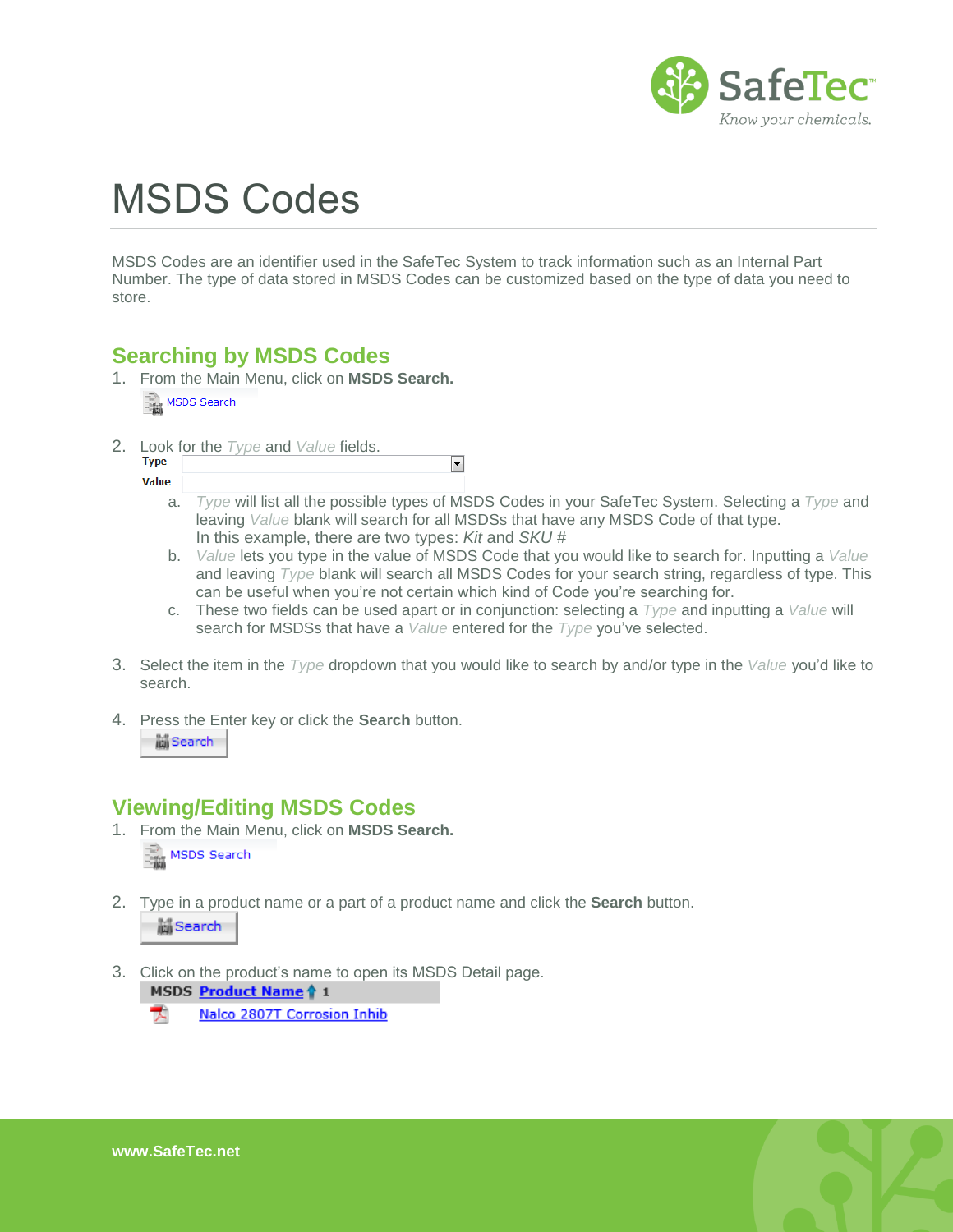

## MSDS Codes

MSDS Codes are an identifier used in the SafeTec System to track information such as an Internal Part Number. The type of data stored in MSDS Codes can be customized based on the type of data you need to store.

 $\overline{\phantom{a}}$ 

## **Searching by MSDS Codes**

- 1. From the Main Menu, click on **MSDS Search.** 三面 MSDS Search
- 2. Look for the *Type* and *Value* fields.

| - |  | .,<br>__ |  |
|---|--|----------|--|
|   |  |          |  |
|   |  |          |  |

- a. *Type* will list all the possible types of MSDS Codes in your SafeTec System. Selecting a *Type* and leaving *Value* blank will search for all MSDSs that have any MSDS Code of that type. In this example, there are two types: *Kit* and *SKU #*
- b. *Value* lets you type in the value of MSDS Code that you would like to search for. Inputting a *Value* and leaving *Type* blank will search all MSDS Codes for your search string, regardless of type. This can be useful when you're not certain which kind of Code you're searching for.
- c. These two fields can be used apart or in conjunction: selecting a *Type* and inputting a *Value* will search for MSDSs that have a *Value* entered for the *Type* you've selected.
- 3. Select the item in the *Type* dropdown that you would like to search by and/or type in the *Value* you'd like to search.
- 4. Press the Enter key or click the **Search** button.

## M Search

## **Viewing/Editing MSDS Codes**

- 1. From the Main Menu, click on **MSDS Search.** MSDS Search
- 2. Type in a product name or a part of a product name and click the **Search** button. M Search
- 3. Click on the product's name to open its MSDS Detail page.

MSDS Product Name 1